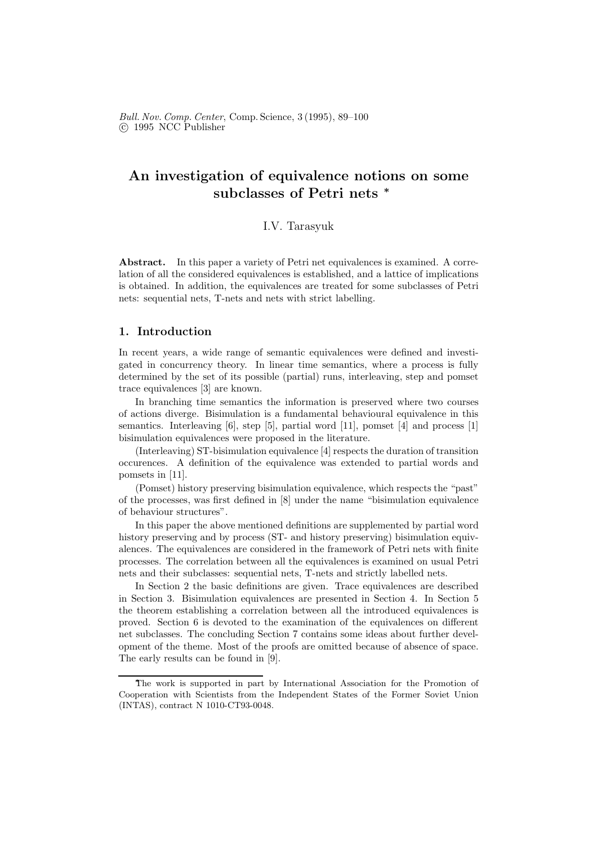# An investigation of equivalence notions on some subclasses of Petri nets <sup>∗</sup>

# I.V. Tarasyuk

Abstract. In this paper a variety of Petri net equivalences is examined. A correlation of all the considered equivalences is established, and a lattice of implications is obtained. In addition, the equivalences are treated for some subclasses of Petri nets: sequential nets, T-nets and nets with strict labelling.

# 1. Introduction

In recent years, a wide range of semantic equivalences were defined and investigated in concurrency theory. In linear time semantics, where a process is fully determined by the set of its possible (partial) runs, interleaving, step and pomset trace equivalences [3] are known.

In branching time semantics the information is preserved where two courses of actions diverge. Bisimulation is a fundamental behavioural equivalence in this semantics. Interleaving [6], step [5], partial word [11], pomset [4] and process [1] bisimulation equivalences were proposed in the literature.

(Interleaving) ST-bisimulation equivalence [4] respects the duration of transition occurences. A definition of the equivalence was extended to partial words and pomsets in [11].

(Pomset) history preserving bisimulation equivalence, which respects the "past" of the processes, was first defined in [8] under the name "bisimulation equivalence of behaviour structures".

In this paper the above mentioned definitions are supplemented by partial word history preserving and by process (ST- and history preserving) bisimulation equivalences. The equivalences are considered in the framework of Petri nets with finite processes. The correlation between all the equivalences is examined on usual Petri nets and their subclasses: sequential nets, T-nets and strictly labelled nets.

In Section 2 the basic definitions are given. Trace equivalences are described in Section 3. Bisimulation equivalences are presented in Section 4. In Section 5 the theorem establishing a correlation between all the introduced equivalences is proved. Section 6 is devoted to the examination of the equivalences on different net subclasses. The concluding Section 7 contains some ideas about further development of the theme. Most of the proofs are omitted because of absence of space. The early results can be found in [9].

The work is supported in part by International Association for the Promotion of Cooperation with Scientists from the Independent States of the Former Soviet Union (INTAS), contract N 1010-CT93-0048.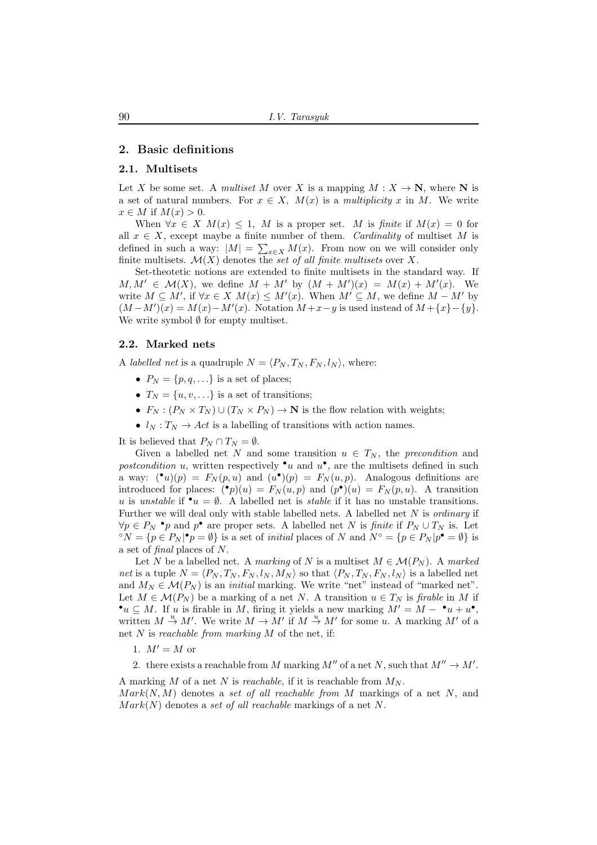# 2. Basic definitions

## 2.1. Multisets

Let X be some set. A multiset M over X is a mapping  $M : X \to \mathbb{N}$ , where N is a set of natural numbers. For  $x \in X$ ,  $M(x)$  is a multiplicity x in M. We write  $x \in M$  if  $M(x) > 0$ .

When  $\forall x \in X \ M(x) \leq 1$ , M is a proper set. M is finite if  $M(x) = 0$  for all  $x \in X$ , except maybe a finite number of them. Cardinality of multiset M is defined in such a way:  $|M| = \sum_{x \in X} M(x)$ . From now on we will consider only finite multisets.  $\mathcal{M}(X)$  denotes the set of all finite multisets over X.

Set-theotetic notions are extended to finite multisets in the standard way. If  $M, M' \in \mathcal{M}(X)$ , we define  $M + M'$  by  $(M + M')(x) = M(x) + M'(x)$ . We write  $M \subseteq M'$ , if  $\forall x \in X$   $M(x) \leq M'(x)$ . When  $M' \subseteq M$ , we define  $M - M'$  by  $(M-M')(x) = M(x) - M'(x)$ . Notation  $M+x-y$  is used instead of  $M + {x} - {y}$ . We write symbol  $\emptyset$  for empty multiset.

#### 2.2. Marked nets

A *labelled net* is a quadruple  $N = \langle P_N, T_N, F_N, l_N \rangle$ , where:

- $P_N = \{p, q, \ldots\}$  is a set of places;
- $T_N = \{u, v, ...\}$  is a set of transitions;
- $F_N : (P_N \times T_N) \cup (T_N \times P_N) \to \mathbb{N}$  is the flow relation with weights;
- $l_N : T_N \to Act$  is a labelling of transitions with action names.

It is believed that  $P_N \cap T_N = \emptyset$ .

Given a labelled net N and some transition  $u \in T_N$ , the precondition and postcondition u, written respectively  $\bullet u$  and  $u^{\bullet}$ , are the multisets defined in such a way:  $(\bullet u)(p) = F_N(p, u)$  and  $(u\bullet)(p) = F_N(u, p)$ . Analogous definitions are introduced for places:  $\binom{\bullet}{p}(u) = F_N(u,p)$  and  $(p^{\bullet})(u) = F_N(p,u)$ . A transition u is unstable if  $\mathbf{v}_u = \emptyset$ . A labelled net is stable if it has no unstable transitions. Further we will deal only with stable labelled nets. A labelled net  $N$  is *ordinary* if  $\forall p \in P_N$  • p and p• are proper sets. A labelled net N is finite if  $P_N \cup T_N$  is. Let <sup>o</sup> $N = \{p \in P_N | \mathbf{P} = \emptyset\}$  is a set of *initial* places of N and  $N^{\circ} = \{p \in P_N | p^{\bullet} = \emptyset\}$  is a set of final places of N.

Let N be a labelled net. A marking of N is a multiset  $M \in \mathcal{M}(P_N)$ . A marked net is a tuple  $N = \langle P_N, T_N, F_N, l_N, M_N \rangle$  so that  $\langle P_N, T_N, F_N, l_N \rangle$  is a labelled net and  $M_N \in \mathcal{M}(P_N)$  is an *initial* marking. We write "net" instead of "marked net". Let  $M \in \mathcal{M}(P_N)$  be a marking of a net N. A transition  $u \in T_N$  is firable in M if  $\bullet u \subseteq M$ . If u is firable in M, firing it yields a new marking  $M' = M - \bullet u + u^{\bullet},$ written  $M \stackrel{u}{\rightarrow} M'$ . We write  $M \rightarrow M'$  if  $M \stackrel{u}{\rightarrow} M'$  for some u. A marking  $M'$  of a net N is reachable from marking  $M$  of the net, if:

1.  $M' = M$  or

2. there exists a reachable from M marking  $M''$  of a net N, such that  $M'' \to M'$ .

A marking M of a net N is reachable, if it is reachable from  $M_N$ .  $Mark(N, M)$  denotes a set of all reachable from M markings of a net N, and  $Mark(N)$  denotes a set of all reachable markings of a net N.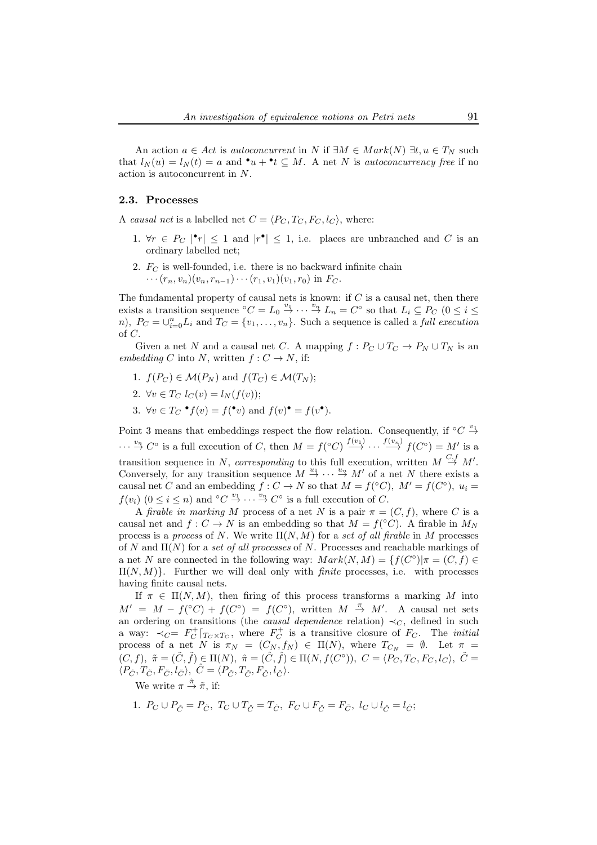An action  $a \in Act$  is autoconcurrent in N if  $\exists M \in Mark(N) \exists t, u \in T_N$  such that  $l_N(u) = l_N(t) = a$  and  $\cdot u + \cdot t \subseteq M$ . A net N is *autoconcurrency free* if no action is autoconcurrent in N.

#### 2.3. Processes

A causal net is a labelled net  $C = \langle P_C, T_C, F_C, l_C \rangle$ , where:

- 1.  $\forall r \in P_C \mid \mathbf{P}_r \mid \leq 1$  and  $\mid r^{\bullet} \mid \leq 1$ , i.e. places are unbranched and C is an ordinary labelled net;
- 2.  $F_C$  is well-founded, i.e. there is no backward infinite chain  $\cdots$   $(r_n, v_n)(v_n, r_{n-1})\cdots (r_1, v_1)(v_1, r_0)$  in  $F_C$ .

The fundamental property of causal nets is known: if  $C$  is a causal net, then there exists a transition sequence  ${}^{\circ}C = L_0 \stackrel{v_1}{\rightarrow} \cdots \stackrel{v_n}{\rightarrow} L_n = C^{\circ}$  so that  $L_i \subseteq P_C$  ( $0 \leq i \leq$ n),  $P_C = \bigcup_{i=0}^n L_i$  and  $T_C = \{v_1, \ldots, v_n\}$ . Such a sequence is called a *full execution* of C.

Given a net N and a causal net C. A mapping  $f: P_C \cup T_C \to P_N \cup T_N$  is an embedding C into N, written  $f: C \to N$ , if:

- 1.  $f(P_C) \in \mathcal{M}(P_N)$  and  $f(T_C) \in \mathcal{M}(T_N)$ ;
- 2.  $\forall v \in T_C$   $l_C(v) = l_N(f(v));$
- 3.  $\forall v \in T_C \bullet f(v) = f(\bullet v)$  and  $f(v) \bullet f(v) = f(v \bullet)$ .

Point 3 means that embeddings respect the flow relation. Consequently, if  $\degree C \overset{v_1}{\rightarrow}$  $\cdots \stackrel{v_n}{\to} C^{\circ}$  is a full execution of C, then  $M = f({}^{\circ}C) \stackrel{f(v_1)}{\to} \cdots \stackrel{f(v_n)}{\to} f(C^{\circ}) = M'$  is a transition sequence in N, corresponding to this full execution, written  $M \stackrel{C,f}{\rightarrow} M'$ . Conversely, for any transition sequence  $M \stackrel{u_1}{\rightarrow} \cdots \stackrel{u_n}{\rightarrow} M'$  of a net N there exists a causal net C and an embedding  $f: C \to N$  so that  $M = f({}^{\circ}C)$ ,  $M' = f(C^{\circ})$ ,  $u_i =$  $f(v_i)$   $(0 \leq i \leq n)$  and  $\overset{\circ}{\mathcal{C}} \overset{v_1}{\rightarrow} \cdots \overset{v_n}{\rightarrow} C^{\circ}$  is a full execution of  $C$ .

A firable in marking M process of a net N is a pair  $\pi = (C, f)$ , where C is a causal net and  $f: C \to N$  is an embedding so that  $M = f({}^{\circ}C)$ . A firable in  $M_N$ process is a process of N. We write  $\Pi(N, M)$  for a set of all firable in M processes of N and  $\Pi(N)$  for a set of all processes of N. Processes and reachable markings of a net N are connected in the following way:  $Mark(N, M) = \{f(C^{\circ}) | \pi = (C, f) \in$  $\Pi(N, M)$ . Further we will deal only with *finite* processes, i.e. with processes having finite causal nets.

If  $\pi \in \Pi(N, M)$ , then firing of this process transforms a marking M into  $M' = M - f(^{\circ}C) + f(C^{\circ}) = f(C^{\circ}),$  written  $M \stackrel{\pi}{\rightarrow} M'$ . A causal net sets an ordering on transitions (the *causal dependence* relation)  $\prec_C$ , defined in such a way:  $\prec_C = F_C^+ |_{T_C \times T_C}$ , where  $F_C^+$  is a transitive closure of  $F_C$ . The *initial* process of a net N is  $\pi_N = (C_N, f_N) \in \Pi(N)$ , where  $T_{C_N} = \emptyset$ . Let  $\pi =$  $(C, f), \tilde{\pi} = (\tilde{C}, \tilde{f}) \in \Pi(N), \tilde{\pi} = (\hat{C}, \hat{f}) \in \Pi(N, f(C^{\circ})), C = \langle P_C, T_C, F_C, l_C \rangle, \tilde{C} =$  $\langle P_{\tilde{C}}, T_{\tilde{C}}, F_{\tilde{C}}, l_{\tilde{C}} \rangle, \hat{C} = \langle P_{\hat{C}}, T_{\hat{C}}, F_{\hat{C}}, l_{\hat{C}} \rangle.$ 

We write  $\pi \stackrel{\hat{\pi}}{\rightarrow} \tilde{\pi}$ , if:

1.  $P_C \cup P_{\hat{C}} = P_{\tilde{C}}$ ,  $T_C \cup T_{\hat{C}} = T_{\tilde{C}}$ ,  $F_C \cup F_{\hat{C}} = F_{\tilde{C}}$ ,  $l_C \cup l_{\hat{C}} = l_{\tilde{C}}$ ;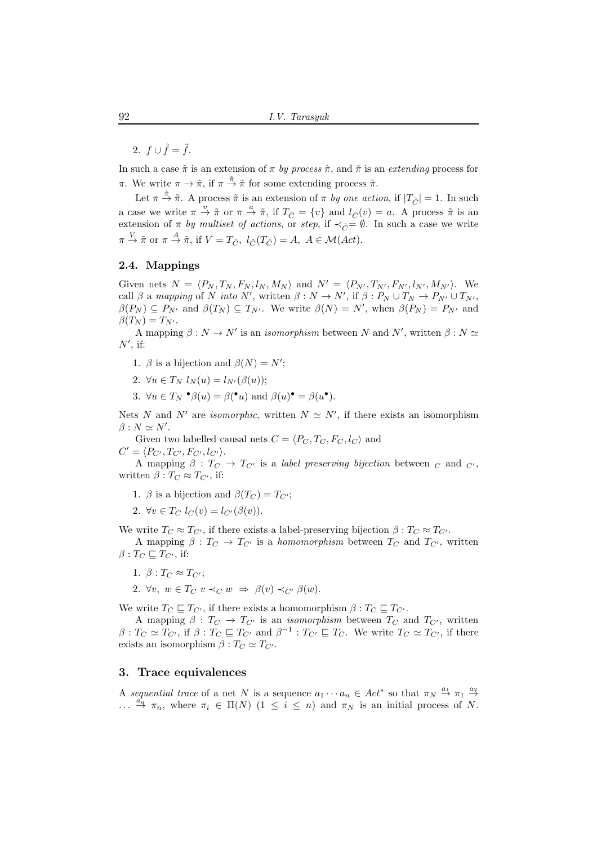2.  $f \cup \hat{f} = \tilde{f}$ .

In such a case  $\tilde{\pi}$  is an extension of  $\pi$  by process  $\hat{\pi}$ , and  $\hat{\pi}$  is an extending process for  $\pi$ . We write  $\pi \to \tilde{\pi}$ , if  $\pi \stackrel{\hat{\pi}}{\to} \tilde{\pi}$  for some extending process  $\hat{\pi}$ .

Let  $\pi \stackrel{\hat{\pi}}{\rightarrow} \tilde{\pi}$ . A process  $\tilde{\pi}$  is an extension of  $\pi$  by one action, if  $|T_{\hat{C}}| = 1$ . In such a case we write  $\pi \stackrel{v}{\to} \tilde{\pi}$  or  $\pi \stackrel{a}{\to} \tilde{\pi}$ , if  $T_{\hat{C}} = \{v\}$  and  $l_{\tilde{C}}(v) = a$ . A process  $\tilde{\pi}$  is an extension of  $\pi$  by multiset of actions, or step, if  $\prec_{\hat{C}} = \emptyset$ . In such a case we write  $\pi \stackrel{V}{\rightarrow} \tilde{\pi}$  or  $\pi \stackrel{A}{\rightarrow} \tilde{\pi}$ , if  $V = T_{\hat{C}}$ ,  $l_{\hat{C}}(T_{\hat{C}}) = A$ ,  $A \in \mathcal{M}(Act)$ .

# 2.4. Mappings

Given nets  $N = \langle P_N, T_N, F_N, l_N, M_N \rangle$  and  $N' = \langle P_{N'}, T_{N'}, F_{N'}, l_{N'}, M_{N'} \rangle$ . We call  $\beta$  a mapping of N into N', written  $\beta : N \to N'$ , if  $\beta : P_N \cup T_N \to P_{N'} \cup T_{N'}$ ,  $\beta(P_N) \subseteq P_{N'}$  and  $\beta(T_N) \subseteq T_{N'}$ . We write  $\beta(N) = N'$ , when  $\beta(P_N) = P_{N'}$  and  $\beta(T_N) = T_{N'}$ .

A mapping  $\beta: N \to N'$  is an *isomorphism* between N and N', written  $\beta: N \simeq$  $N'$ , if:

- 1.  $\beta$  is a bijection and  $\beta(N) = N'$ ;
- 2.  $\forall u \in T_N$   $l_N(u) = l_{N'}(\beta(u));$
- 3.  $\forall u \in T_N \bullet \beta(u) = \beta(\bullet u) \text{ and } \beta(u) \bullet \beta(u) \bullet \beta(u).$

Nets N and N' are *isomorphic*, written  $N \simeq N'$ , if there exists an isomorphism  $\beta : N \simeq N'.$ 

Given two labelled causal nets  $C = \langle P_C, T_C, F_C, l_C \rangle$  and  $C' = \langle P_{C'}, T_{C'}, F_{C'}, l_{C'} \rangle.$ 

A mapping  $\beta : T_C \to T_{C'}$  is a *label preserving bijection* between  $_C$  and  $_{C'}$ , written  $\beta: T_{C} \approx T_{C'}$ , if:

- 1. β is a bijection and  $\beta(T_C) = T_{C'}$ ;
- 2.  $\forall v \in T_C$   $l_C(v) = l_{C'}(\beta(v))$ .

We write  $T_C \approx T_{C'}$ , if there exists a label-preserving bijection  $\beta : T_C \approx T_{C'}$ .

A mapping  $\beta : T_C \to T_{C'}$  is a *homomorphism* between  $T_C$  and  $T_{C'}$ , written  $\beta: T_C \sqsubseteq T_{C'}$ , if:

1.  $\beta: T_C \approx T_{C'};$ 

2.  $\forall v, w \in T_C$   $v \prec_C w \Rightarrow \beta(v) \prec_{C'} \beta(w)$ .

We write  $T_C \sqsubseteq T_{C'}$ , if there exists a homomorphism  $\beta : T_C \sqsubseteq T_{C'}$ .

A mapping  $\beta : T_C \to T_{C'}$  is an *isomorphism* between  $T_C$  and  $T_{C'}$ , written  $\beta: T_C \simeq T_{C'}$ , if  $\beta: T_C \sqsubseteq T_{C'}$  and  $\beta^{-1}: T_{C'} \sqsubseteq T_C$ . We write  $T_C \simeq T_{C'}$ , if there exists an isomorphism  $\beta : T_C \simeq T_{C'}$ .

#### 3. Trace equivalences

A sequential trace of a net N is a sequence  $a_1 \cdots a_n \in Act^*$  so that  $\pi_N \stackrel{a_1}{\rightarrow} \pi_1 \stackrel{a_2}{\rightarrow}$  $\ldots \stackrel{a_n}{\to} \pi_n$ , where  $\pi_i \in \Pi(N)$   $(1 \leq i \leq n)$  and  $\pi_N$  is an initial process of N.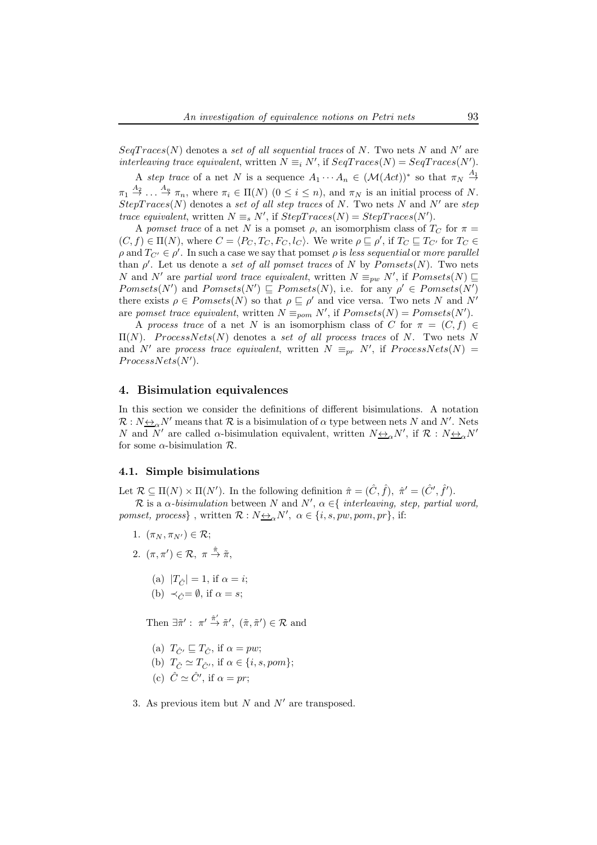$SeqTrace(N)$  denotes a set of all sequential traces of N. Two nets N and N' are interleaving trace equivalent, written  $N \equiv_i N'$ , if  $SeqTraces(N) = SeqTraces(N')$ .

A step trace of a net N is a sequence  $A_1 \cdots A_n \in (\mathcal{M}(Act))^*$  so that  $\pi_N \stackrel{A_1}{\rightarrow}$  $\pi_1 \stackrel{A_2}{\rightarrow} \dots \stackrel{A_n}{\rightarrow} \pi_n$ , where  $\pi_i \in \Pi(N)$   $(0 \leq i \leq n)$ , and  $\pi_N$  is an initial process of N.  $StepTrace(N)$  denotes a set of all step traces of N. Two nets N and N' are step trace equivalent, written  $N \equiv_s N'$ , if  $StepTrace(N) = StepTrace(N')$ .

A pomset trace of a net N is a pomset  $\rho$ , an isomorphism class of  $T_C$  for  $\pi =$  $(C, f) \in \Pi(N)$ , where  $C = \langle P_C, T_C, F_C, l_C \rangle$ . We write  $\rho \sqsubseteq \rho'$ , if  $T_C \sqsubseteq T_{C'}$  for  $T_C \in$  $\rho$  and  $T_{C'} \in \rho'$ . In such a case we say that pomset  $\rho$  is less sequential or more parallel than  $\rho'$ . Let us denote a set of all pomset traces of N by Pomsets(N). Two nets N and N' are partial word trace equivalent, written  $N \equiv_{pw} N'$ , if  $Pomsets(N) \sqsubseteq$  $Pomsets(N')$  and  $Pomsets(N') \sqsubseteq Pomsets(N)$ , i.e. for any  $\rho' \in Pomsets(N')$ there exists  $\rho \in Pomsets(N)$  so that  $\rho \subseteq \rho'$  and vice versa. Two nets N and N' are pomset trace equivalent, written  $N \equiv_{\text{pom}} N'$ , if  $Pomsets(N) = Pomsets(N')$ .

A process trace of a net N is an isomorphism class of C for  $\pi = (C, f) \in$  $\Pi(N)$ . ProcessNets(N) denotes a set of all process traces of N. Two nets N and N' are process trace equivalent, written  $N \equiv_{pr} N'$ , if  $ProcessNets(N) =$  $ProcessNets(N').$ 

## 4. Bisimulation equivalences

In this section we consider the definitions of different bisimulations. A notation  $\mathcal{R}: N_{\frac{\lambda}{\lambda}}N'$  means that  $\mathcal R$  is a bisimulation of  $\alpha$  type between nets N and N'. Nets N and  $N'$  are called  $\alpha$ -bisimulation equivalent, written  $N_{\Delta} \Delta N'$ , if  $\mathcal{R} : N_{\Delta} \Delta N'$ for some  $\alpha$ -bisimulation  $\mathcal{R}$ .

#### 4.1. Simple bisimulations

Let  $\mathcal{R} \subseteq \Pi(N) \times \Pi(N')$ . In the following definition  $\hat{\pi} = (\hat{C}, \hat{f}), \hat{\pi}' = (\hat{C}', \hat{f}')$ .

R is a  $\alpha$ -bisimulation between N and N',  $\alpha \in \{$  interleaving, step, partial word, *pomset, process*}, written  $\mathcal{R}: N \underline{\leftrightarrow}_{\alpha} N'$ ,  $\alpha \in \{i, s, pw, pom, pr\}$ , if:

- 1.  $(\pi_N, \pi_{N'}) \in \mathcal{R}$ ;
- 2.  $(\pi, \pi') \in \mathcal{R}, \pi \stackrel{\hat{\pi}}{\rightarrow} \tilde{\pi},$ 
	- (a)  $|T_{\hat{C}}| = 1$ , if  $\alpha = i$ ;
	- (b)  $\prec_{\hat{C}} = \emptyset$ , if  $\alpha = s$ ;

Then  $\exists \tilde{\pi}' : \pi' \stackrel{\hat{\pi}'}{\rightarrow} \tilde{\pi}', \ (\tilde{\pi}, \tilde{\pi}') \in \mathcal{R}$  and

- (a)  $T_{\hat{C}'} \sqsubseteq T_{\hat{C}}$ , if  $\alpha = pw$ ;
- (b)  $T_{\hat{C}} \simeq T_{\hat{C}}$ , if  $\alpha \in \{i, s, pom\};$
- (c)  $\hat{C} \simeq \hat{C}'$ , if  $\alpha = pr$ ;
- 3. As previous item but  $N$  and  $N'$  are transposed.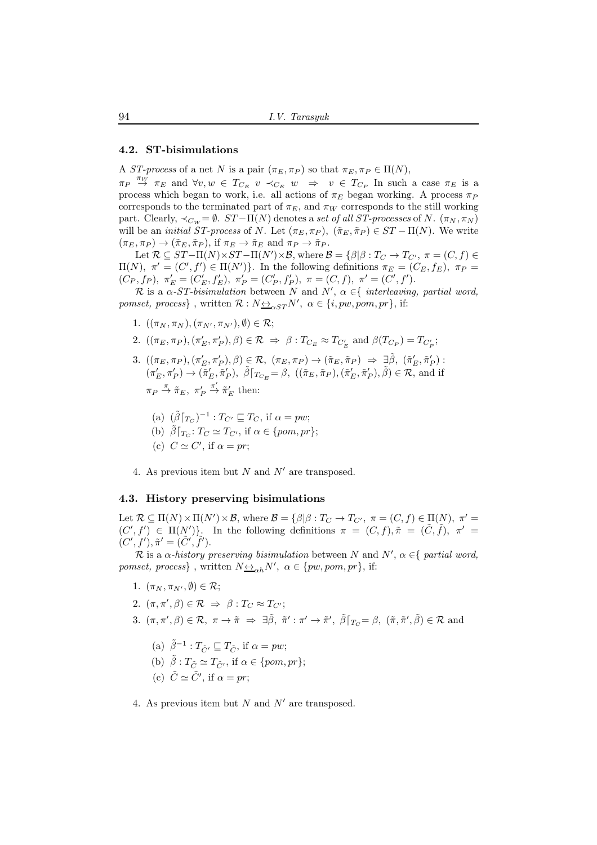#### 4.2. ST-bisimulations

A ST-process of a net N is a pair  $(\pi_E, \pi_P)$  so that  $\pi_E, \pi_P \in \Pi(N)$ ,

 $\pi_P \overset{\pi_W}{\to} \pi_E$  and  $\forall v, w \in T_{C_E}$   $v \prec_{C_E} w \Rightarrow v \in T_{C_P}$  In such a case  $\pi_E$  is a process which began to work, i.e. all actions of  $\pi_E$  began working. A process  $\pi_P$ corresponds to the terminated part of  $\pi_E$ , and  $\pi_W$  corresponds to the still working part. Clearly,  $\prec_{C_W} = \emptyset$ .  $ST - \Pi(N)$  denotes a set of all ST-processes of N.  $(\pi_N, \pi_N)$ will be an *initial ST-process* of N. Let  $(\pi_E, \pi_P)$ ,  $(\tilde{\pi}_E, \tilde{\pi}_P) \in ST - \Pi(N)$ . We write  $(\pi_E, \pi_P) \to (\tilde{\pi}_E, \tilde{\pi}_P)$ , if  $\pi_E \to \tilde{\pi}_E$  and  $\pi_P \to \tilde{\pi}_P$ .

Let  $\mathcal{R} \subseteq ST-\Pi(N) \times ST-\Pi(N') \times \mathcal{B}$ , where  $\mathcal{B} = \{\beta | \beta : T_{C} \rightarrow T_{C'}$ ,  $\pi = (C, f) \in$  $\Pi(N)$ ,  $\pi' = (C', f') \in \Pi(N')$ . In the following definitions  $\pi_E = (C_E, f_E)$ ,  $\pi_P =$  $(C_P, f_P), \pi'_E = (C'_E, f'_E), \pi'_P = (C'_P, f'_P), \pi = (C, f), \pi' = (C', f').$ 

R is a  $\alpha$ -ST-bisimulation between N and N',  $\alpha \in \{$  interleaving, partial word, *pomset, process*}, written  $\mathcal{R}: N \underline{\leftrightarrow}_{\alpha ST} N'$ ,  $\alpha \in \{i, pw, pom, pr\}$ , if:

- 1.  $((\pi_N, \pi_N), (\pi_{N'}, \pi_{N'}), \emptyset) \in \mathcal{R};$
- 2.  $((\pi_E, \pi_P), (\pi'_E, \pi'_P), \beta) \in \mathcal{R} \Rightarrow \beta : T_{C_E} \approx T_{C'_E}$  and  $\beta(T_{C_P}) = T_{C'_P};$
- 3.  $((\pi_E, \pi_P), (\pi'_E, \pi'_P), \beta) \in \mathcal{R}, \ (\pi_E, \pi_P) \rightarrow (\tilde{\pi}_E, \tilde{\pi}_P) \Rightarrow \exists \tilde{\beta}, \ (\tilde{\pi}'_E, \tilde{\pi}'_P)$ :  $(\pi'_E, \pi'_P) \to (\tilde{\pi}'_E, \tilde{\pi}'_P), \ \tilde{\beta}\vert_{T_{C_E}} = \beta, \ ((\tilde{\pi}_E, \tilde{\pi}_P), (\tilde{\pi}'_E, \tilde{\pi}'_P), \tilde{\beta}) \in \mathcal{R}$ , and if  $\pi_P \stackrel{\pi}{\rightarrow} \tilde{\pi}_E, \pi'_P$  $\stackrel{\pi'}{\rightarrow} \tilde{\pi}'_E$  then:
	- (a)  $(\tilde{\beta} \vert_{T_C})^{-1}$ :  $T_{C'} \sqsubseteq T_C$ , if  $\alpha = pw$ ; (b)  $\tilde{\beta} \lceil_{T_C}: T_C \simeq T_{C'}$ , if  $\alpha \in \{pom, pr\};$
	- (c)  $C \simeq C'$ , if  $\alpha = pr$ ;
- 4. As previous item but N and  $N'$  are transposed.

## 4.3. History preserving bisimulations

Let  $\mathcal{R} \subseteq \Pi(N) \times \Pi(N') \times \mathcal{B}$ , where  $\mathcal{B} = \{\beta | \beta : T_{C} \to T_{C'}$ ,  $\pi = (C, f) \in \Pi(N)$ ,  $\pi' =$  $(C', f') \in \Pi(N')$ . In the following definitions  $\pi = (C, f), \tilde{\pi} = (\tilde{C}, \tilde{f}), \pi' =$  $(C', f'), \tilde{\pi}' = (\tilde{C}', \tilde{f}').$ 

R is a  $\alpha$ -history preserving bisimulation between N and N',  $\alpha \in \{$  partial word, *pomset, process*}, written  $N \underline{\leftrightarrow}_{\alpha h} N'$ ,  $\alpha \in \{pw, pom, pr\}$ , if:

- 1.  $(\pi_N, \pi_{N'}, \emptyset) \in \mathcal{R}$ ;
- 2.  $(\pi, \pi', \beta) \in \mathcal{R} \Rightarrow \beta : T_C \approx T_{C'};$
- 3.  $(\pi, \pi', \beta) \in \mathcal{R}, \ \pi \to \tilde{\pi} \Rightarrow \exists \tilde{\beta}, \ \tilde{\pi}' : \pi' \to \tilde{\pi}', \ \tilde{\beta} \lceil_{T_C} = \beta, \ (\tilde{\pi}, \tilde{\pi}', \tilde{\beta}) \in \mathcal{R} \text{ and }$ 
	- (a)  $\tilde{\beta}^{-1}$ :  $T_{\tilde{C}'} \sqsubseteq T_{\tilde{C}}$ , if  $\alpha = pw$ ;
	- (b)  $\tilde{\beta}: T_{\tilde{C}} \simeq T_{\tilde{C}}'$ , if  $\alpha \in \{pom, pr\};$
	- (c)  $\tilde{C} \simeq \tilde{C}'$ , if  $\alpha = pr$ ;

4. As previous item but  $N$  and  $N'$  are transposed.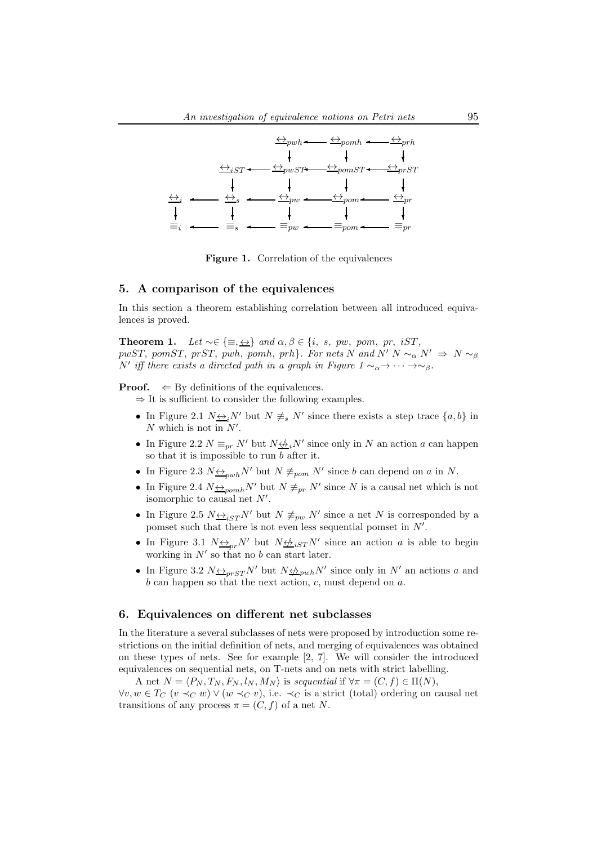

Figure 1. Correlation of the equivalences

## 5. A comparison of the equivalences

In this section a theorem establishing correlation between all introduced equivalences is proved.

Theorem 1. Let  $\sim \in \{\equiv, \leftrightarrow\}$  and  $\alpha, \beta \in \{i, s, pw, pom, pr, iST,$ pwST, pomST, prST, pwh, pomh, prh}. For nets N and N' N  $\sim_{\alpha} N' \Rightarrow N \sim_{\beta}$ N' iff there exists a directed path in a graph in Figure  $1 \sim_{\alpha} \rightarrow \cdots \rightarrow_{\beta}$ .

**Proof.**  $\Leftarrow$  By definitions of the equivalences.

- $\Rightarrow$  It is sufficient to consider the following examples.
	- In Figure 2.1  $N \underline{\leftrightarrow}_i N'$  but  $N \not\equiv_s N'$  since there exists a step trace  $\{a, b\}$  in  $N$  which is not in  $N'$ .
	- In Figure 2.2  $N \equiv_{pr} N'$  but  $N \not\Longrightarrow_i N'$  since only in N an action a can happen so that it is impossible to run  $b$  after it.
	- In Figure 2.3  $N \leftrightarrow_{pub} N'$  but  $N \not\equiv_{pop} N'$  since b can depend on a in N.
	- In Figure 2.4  $N \leftrightarrow_{p^m} N'$  but  $N \neq_{pr} N'$  since N is a causal net which is not isomorphic to causal net  $N'$ .
	- In Figure 2.5  $N_{\frac{\leftrightarrow}{\leq}ST}N'$  but  $N \not\equiv_{pw} N'$  since a net N is corresponded by a pomset such that there is not even less sequential pomset in  $N'$ .
	- In Figure 3.1  $N \leftrightarrow_{pr} N'$  but  $N \not\leftrightarrow_{iST} N'$  since an action a is able to begin working in  $N'$  so that no b can start later.
	- In Figure 3.2  $N \leftrightarrow p_{prST} N'$  but  $N \leftrightarrow p_{wh} N'$  since only in N' an actions a and  $b$  can happen so that the next action,  $c$ , must depend on  $a$ .

## 6. Equivalences on different net subclasses

In the literature a several subclasses of nets were proposed by introduction some restrictions on the initial definition of nets, and merging of equivalences was obtained on these types of nets. See for example [2, 7]. We will consider the introduced equivalences on sequential nets, on T-nets and on nets with strict labelling.

A net  $N = \langle P_N, T_N, F_N, l_N, M_N \rangle$  is sequential if  $\forall \pi = (C, f) \in \Pi(N)$ ,  $\forall v, w \in T_C$   $(v \prec_C w) \vee (w \prec_C v)$ , i.e.  $\prec_C$  is a strict (total) ordering on causal net transitions of any process  $\pi = (C, f)$  of a net N.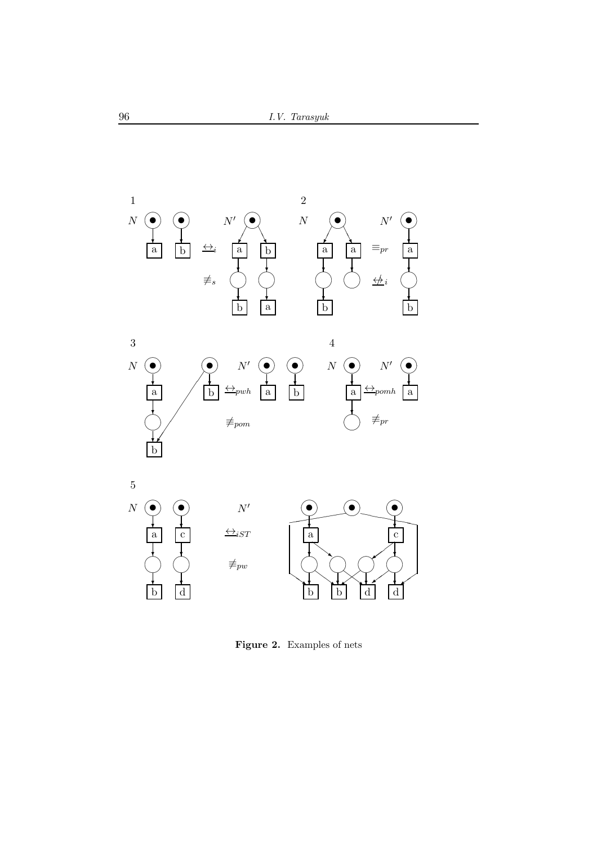

Figure 2. Examples of nets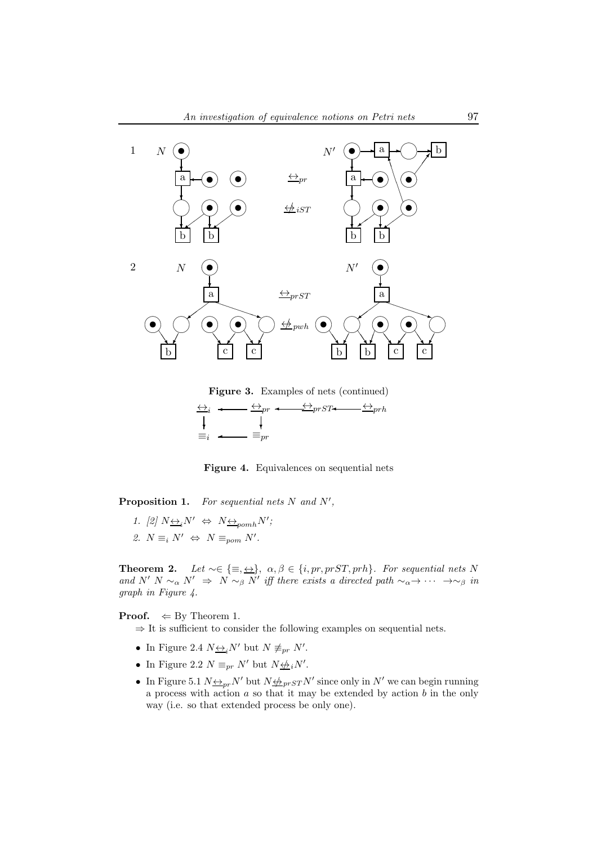

Figure 3. Examples of nets (continued)



Figure 4. Equivalences on sequential nets

**Proposition 1.** For sequential nets  $N$  and  $N'$ ,

1. [2]  $N \underline{\leftrightarrow}_i N' \Leftrightarrow N \underline{\leftrightarrow}_{p o m h} N'$ ; 2.  $N \equiv_i N' \Leftrightarrow N \equiv_{\text{pom}} N'$ .

**Theorem 2.** Let  $\sim \in \{\equiv, \leftrightarrow\}$ ,  $\alpha, \beta \in \{i, pr, prST, prh\}$ . For sequential nets N and  $N' N \sim_\alpha N' \Rightarrow N \sim_\beta N'$  iff there exists a directed path  $\sim_\alpha \rightarrow \cdots \rightarrow \sim_\beta$  in graph in Figure 4.

**Proof.**  $\Leftarrow$  By Theorem 1.

- $\Rightarrow$  It is sufficient to consider the following examples on sequential nets.
- In Figure 2.4  $N \underline{\leftrightarrow}_i N'$  but  $N \not\equiv_{pr} N'$ .
- In Figure 2.2  $N \equiv_{pr} N'$  but  $N \not\leftrightarrow_i N'$ .
- In Figure 5.1  $N \leftrightarrow_{pr} N'$  but  $N \not\leftrightarrow_{pr} N'$  since only in  $N'$  we can begin running a process with action  $a$  so that it may be extended by action  $b$  in the only way (i.e. so that extended process be only one).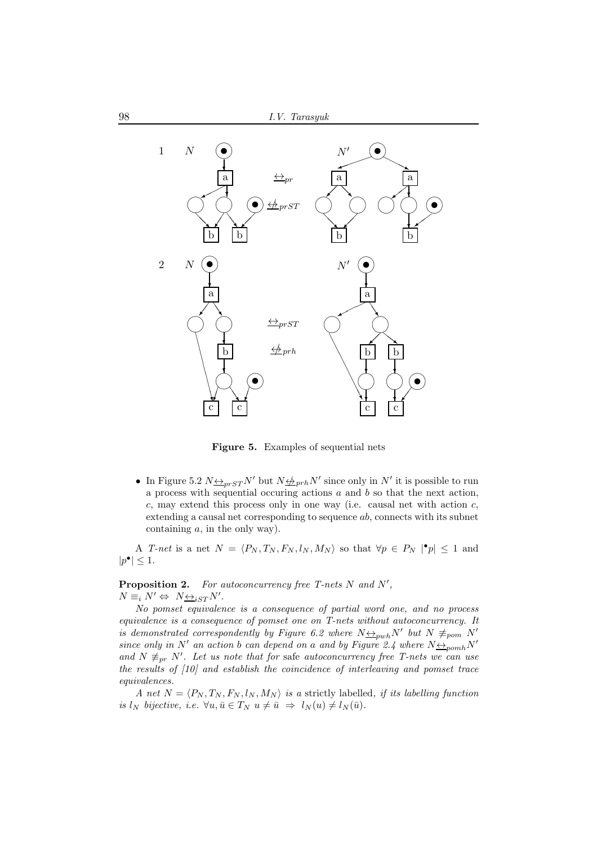

Figure 5. Examples of sequential nets

• In Figure 5.2  $N \leftrightarrow_{prST} N'$  but  $N \leftrightarrow_{prh} N'$  since only in N' it is possible to run a process with sequential occuring actions  $a$  and  $b$  so that the next action,  $c$ , may extend this process only in one way (i.e. causal net with action  $c$ , extending a causal net corresponding to sequence ab, connects with its subnet containing  $a$ , in the only way).

A T-net is a net  $N = \langle P_N, T_N, F_N, l_N, M_N \rangle$  so that  $\forall p \in P_N \mid \mathbf{P}| \leq 1$  and  $|p^{\bullet}| \leq 1.$ 

**Proposition 2.** For autoconcurrency free T-nets  $N$  and  $N'$ ,  $N \equiv_i N' \Leftrightarrow N \underline{\leftrightarrow}_{iST} N'.$ 

No pomset equivalence is a consequence of partial word one, and no process equivalence is a consequence of pomset one on T-nets without autoconcurrency. It is demonstrated correspondently by Figure 6.2 where  $N \leftrightarrow_{\text{pub}} N'$  but  $N \not\equiv_{\text{pop}} N'$ since only in N' an action b can depend on a and by Figure 2.4 where  $N \leftrightarrow_{\text{p}omh} N'$ and  $N \neq_{pr} N'$ . Let us note that for safe autoconcurrency free T-nets we can use the results of [10] and establish the coincidence of interleaving and pomset trace equivalences.

A net  $N = \langle P_N, T_N, F_N, l_N, M_N \rangle$  is a strictly labelled, if its labelling function is  $l_N$  bijective, i.e.  $\forall u, \bar{u} \in T_N$   $u \neq \bar{u} \Rightarrow l_N(u) \neq l_N(\bar{u})$ .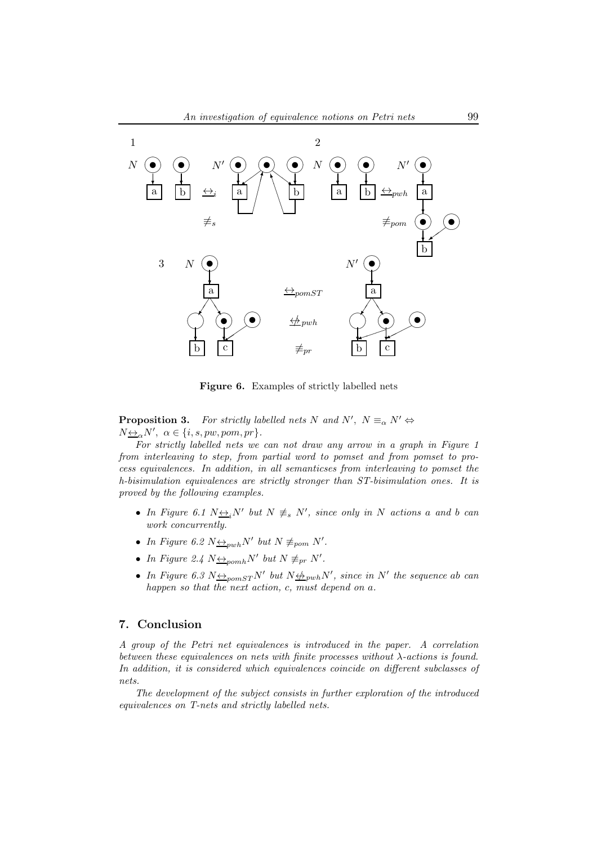

Figure 6. Examples of strictly labelled nets

**Proposition 3.** For strictly labelled nets N and N',  $N \equiv_{\alpha} N' \Leftrightarrow$  $N_{\Delta} \triangle N'$ ,  $\alpha \in \{i, s, pw, pom, pr\}$ .

For strictly labelled nets we can not draw any arrow in a graph in Figure 1 from interleaving to step, from partial word to pomset and from pomset to process equivalences. In addition, in all semanticses from interleaving to pomset the h-bisimulation equivalences are strictly stronger than ST-bisimulation ones. It is proved by the following examples.

- In Figure 6.1  $N \leftrightarrow i^N$  but  $N \neq s N'$ , since only in N actions a and b can work concurrently.
- In Figure 6.2  $N \leftrightarrow_{\text{pub}} N'$  but  $N \not\equiv_{\text{pom}} N'$ .
- In Figure 2.4  $N \underline{\leftrightarrow}_{p o m h} N'$  but  $N \not\equiv_{pr} N'$ .
- In Figure 6.3  $N \triangleq_{\text{pomST}} N'$  but  $N \triangleq_{\text{pwh}} N'$ , since in N' the sequence ab can happen so that the next action, c, must depend on a.

#### 7. Conclusion

A group of the Petri net equivalences is introduced in the paper. A correlation between these equivalences on nets with finite processes without  $\lambda$ -actions is found. In addition, it is considered which equivalences coincide on different subclasses of nets.

The development of the subject consists in further exploration of the introduced equivalences on T-nets and strictly labelled nets.